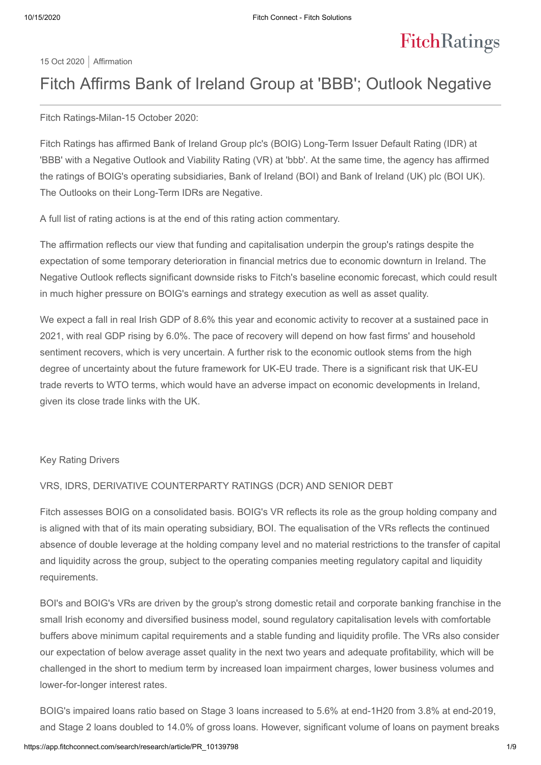# **FitchRatings**

# 15 Oct 2020 | Affirmation

# Fitch Affirms Bank of Ireland Group at 'BBB'; Outlook Negative

Fitch Ratings-Milan-15 October 2020:

Fitch Ratings has affirmed Bank of Ireland Group plc's (BOIG) Long-Term Issuer Default Rating (IDR) at 'BBB' with a Negative Outlook and Viability Rating (VR) at 'bbb'. At the same time, the agency has affirmed the ratings of BOIG's operating subsidiaries, Bank of Ireland (BOI) and Bank of Ireland (UK) plc (BOI UK). The Outlooks on their Long-Term IDRs are Negative.

A full list of rating actions is at the end of this rating action commentary.

The affirmation reflects our view that funding and capitalisation underpin the group's ratings despite the expectation of some temporary deterioration in financial metrics due to economic downturn in Ireland. The Negative Outlook reflects significant downside risks to Fitch's baseline economic forecast, which could result in much higher pressure on BOIG's earnings and strategy execution as well as asset quality.

We expect a fall in real Irish GDP of 8.6% this year and economic activity to recover at a sustained pace in 2021, with real GDP rising by 6.0%. The pace of recovery will depend on how fast firms' and household sentiment recovers, which is very uncertain. A further risk to the economic outlook stems from the high degree of uncertainty about the future framework for UK-EU trade. There is a significant risk that UK-EU trade reverts to WTO terms, which would have an adverse impact on economic developments in Ireland, given its close trade links with the UK.

#### Key Rating Drivers

#### VRS, IDRS, DERIVATIVE COUNTERPARTY RATINGS (DCR) AND SENIOR DEBT

Fitch assesses BOIG on a consolidated basis. BOIG's VR reflects its role as the group holding company and is aligned with that of its main operating subsidiary, BOI. The equalisation of the VRs reflects the continued absence of double leverage at the holding company level and no material restrictions to the transfer of capital and liquidity across the group, subject to the operating companies meeting regulatory capital and liquidity requirements.

BOI's and BOIG's VRs are driven by the group's strong domestic retail and corporate banking franchise in the small Irish economy and diversified business model, sound regulatory capitalisation levels with comfortable buffers above minimum capital requirements and a stable funding and liquidity profile. The VRs also consider our expectation of below average asset quality in the next two years and adequate profitability, which will be challenged in the short to medium term by increased loan impairment charges, lower business volumes and lower-for-longer interest rates.

BOIG's impaired loans ratio based on Stage 3 loans increased to 5.6% at end-1H20 from 3.8% at end-2019, and Stage 2 loans doubled to 14.0% of gross loans. However, significant volume of loans on payment breaks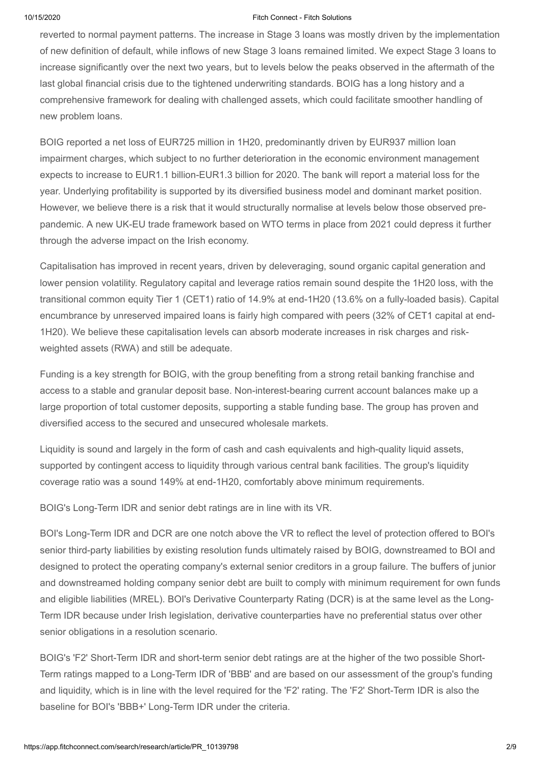reverted to normal payment patterns. The increase in Stage 3 loans was mostly driven by the implementation of new definition of default, while inflows of new Stage 3 loans remained limited. We expect Stage 3 loans to increase significantly over the next two years, but to levels below the peaks observed in the aftermath of the last global financial crisis due to the tightened underwriting standards. BOIG has a long history and a comprehensive framework for dealing with challenged assets, which could facilitate smoother handling of new problem loans.

BOIG reported a net loss of EUR725 million in 1H20, predominantly driven by EUR937 million loan impairment charges, which subject to no further deterioration in the economic environment management expects to increase to EUR1.1 billion-EUR1.3 billion for 2020. The bank will report a material loss for the year. Underlying profitability is supported by its diversified business model and dominant market position. However, we believe there is a risk that it would structurally normalise at levels below those observed prepandemic. A new UK-EU trade framework based on WTO terms in place from 2021 could depress it further through the adverse impact on the Irish economy.

Capitalisation has improved in recent years, driven by deleveraging, sound organic capital generation and lower pension volatility. Regulatory capital and leverage ratios remain sound despite the 1H20 loss, with the transitional common equity Tier 1 (CET1) ratio of 14.9% at end-1H20 (13.6% on a fully-loaded basis). Capital encumbrance by unreserved impaired loans is fairly high compared with peers (32% of CET1 capital at end-1H20). We believe these capitalisation levels can absorb moderate increases in risk charges and riskweighted assets (RWA) and still be adequate.

Funding is a key strength for BOIG, with the group benefiting from a strong retail banking franchise and access to a stable and granular deposit base. Non-interest-bearing current account balances make up a large proportion of total customer deposits, supporting a stable funding base. The group has proven and diversified access to the secured and unsecured wholesale markets.

Liquidity is sound and largely in the form of cash and cash equivalents and high-quality liquid assets, supported by contingent access to liquidity through various central bank facilities. The group's liquidity coverage ratio was a sound 149% at end-1H20, comfortably above minimum requirements.

BOIG's Long-Term IDR and senior debt ratings are in line with its VR.

BOI's Long-Term IDR and DCR are one notch above the VR to reflect the level of protection offered to BOI's senior third-party liabilities by existing resolution funds ultimately raised by BOIG, downstreamed to BOI and designed to protect the operating company's external senior creditors in a group failure. The buffers of junior and downstreamed holding company senior debt are built to comply with minimum requirement for own funds and eligible liabilities (MREL). BOI's Derivative Counterparty Rating (DCR) is at the same level as the Long-Term IDR because under Irish legislation, derivative counterparties have no preferential status over other senior obligations in a resolution scenario.

BOIG's 'F2' Short-Term IDR and short-term senior debt ratings are at the higher of the two possible Short-Term ratings mapped to a Long-Term IDR of 'BBB' and are based on our assessment of the group's funding and liquidity, which is in line with the level required for the 'F2' rating. The 'F2' Short-Term IDR is also the baseline for BOI's 'BBB+' Long-Term IDR under the criteria.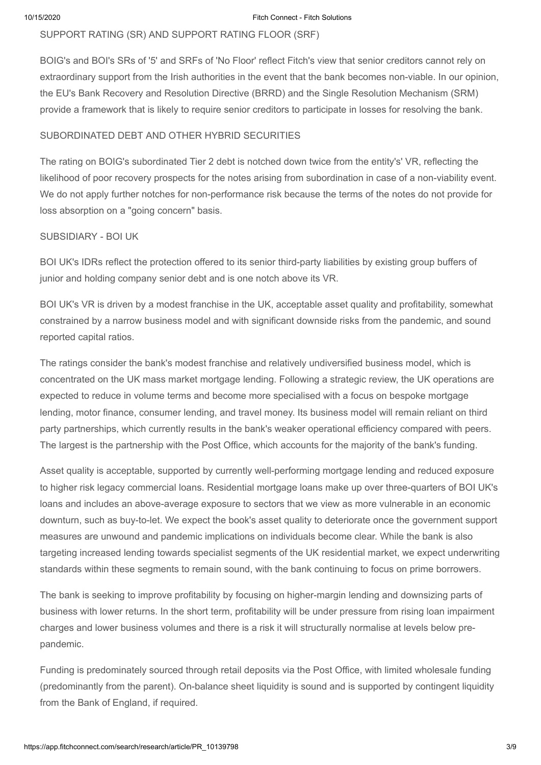# SUPPORT RATING (SR) AND SUPPORT RATING FLOOR (SRF)

BOIG's and BOI's SRs of '5' and SRFs of 'No Floor' reflect Fitch's view that senior creditors cannot rely on extraordinary support from the Irish authorities in the event that the bank becomes non-viable. In our opinion, the EU's Bank Recovery and Resolution Directive (BRRD) and the Single Resolution Mechanism (SRM) provide a framework that is likely to require senior creditors to participate in losses for resolving the bank.

## SUBORDINATED DEBT AND OTHER HYBRID SECURITIES

The rating on BOIG's subordinated Tier 2 debt is notched down twice from the entity's' VR, reflecting the likelihood of poor recovery prospects for the notes arising from subordination in case of a non-viability event. We do not apply further notches for non-performance risk because the terms of the notes do not provide for loss absorption on a "going concern" basis.

## SUBSIDIARY - BOI UK

BOI UK's IDRs reflect the protection offered to its senior third-party liabilities by existing group buffers of junior and holding company senior debt and is one notch above its VR.

BOI UK's VR is driven by a modest franchise in the UK, acceptable asset quality and profitability, somewhat constrained by a narrow business model and with significant downside risks from the pandemic, and sound reported capital ratios.

The ratings consider the bank's modest franchise and relatively undiversified business model, which is concentrated on the UK mass market mortgage lending. Following a strategic review, the UK operations are expected to reduce in volume terms and become more specialised with a focus on bespoke mortgage lending, motor finance, consumer lending, and travel money. Its business model will remain reliant on third party partnerships, which currently results in the bank's weaker operational efficiency compared with peers. The largest is the partnership with the Post Office, which accounts for the majority of the bank's funding.

Asset quality is acceptable, supported by currently well-performing mortgage lending and reduced exposure to higher risk legacy commercial loans. Residential mortgage loans make up over three-quarters of BOI UK's loans and includes an above-average exposure to sectors that we view as more vulnerable in an economic downturn, such as buy-to-let. We expect the book's asset quality to deteriorate once the government support measures are unwound and pandemic implications on individuals become clear. While the bank is also targeting increased lending towards specialist segments of the UK residential market, we expect underwriting standards within these segments to remain sound, with the bank continuing to focus on prime borrowers.

The bank is seeking to improve profitability by focusing on higher-margin lending and downsizing parts of business with lower returns. In the short term, profitability will be under pressure from rising loan impairment charges and lower business volumes and there is a risk it will structurally normalise at levels below prepandemic.

Funding is predominately sourced through retail deposits via the Post Office, with limited wholesale funding (predominantly from the parent). On-balance sheet liquidity is sound and is supported by contingent liquidity from the Bank of England, if required.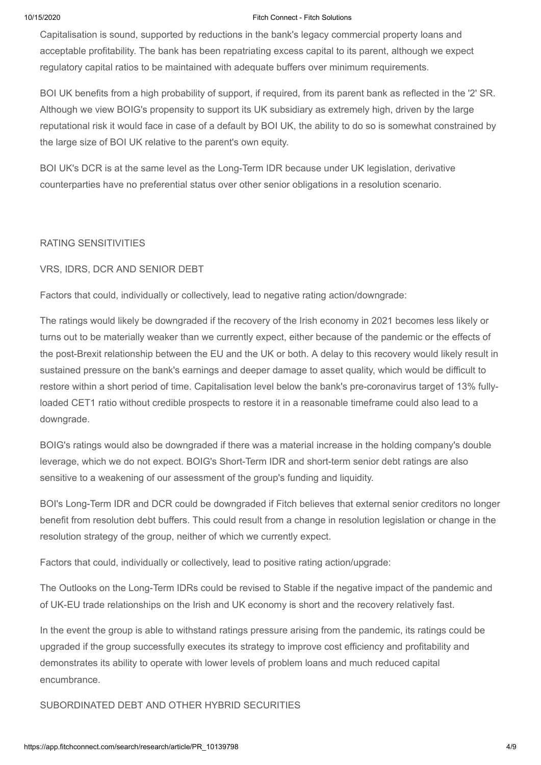Capitalisation is sound, supported by reductions in the bank's legacy commercial property loans and acceptable profitability. The bank has been repatriating excess capital to its parent, although we expect regulatory capital ratios to be maintained with adequate buffers over minimum requirements.

BOI UK benefits from a high probability of support, if required, from its parent bank as reflected in the '2' SR. Although we view BOIG's propensity to support its UK subsidiary as extremely high, driven by the large reputational risk it would face in case of a default by BOI UK, the ability to do so is somewhat constrained by the large size of BOI UK relative to the parent's own equity.

BOI UK's DCR is at the same level as the Long-Term IDR because under UK legislation, derivative counterparties have no preferential status over other senior obligations in a resolution scenario.

#### RATING SENSITIVITIES

#### VRS, IDRS, DCR AND SENIOR DEBT

Factors that could, individually or collectively, lead to negative rating action/downgrade:

The ratings would likely be downgraded if the recovery of the Irish economy in 2021 becomes less likely or turns out to be materially weaker than we currently expect, either because of the pandemic or the effects of the post-Brexit relationship between the EU and the UK or both. A delay to this recovery would likely result in sustained pressure on the bank's earnings and deeper damage to asset quality, which would be difficult to restore within a short period of time. Capitalisation level below the bank's pre-coronavirus target of 13% fullyloaded CET1 ratio without credible prospects to restore it in a reasonable timeframe could also lead to a downgrade.

BOIG's ratings would also be downgraded if there was a material increase in the holding company's double leverage, which we do not expect. BOIG's Short-Term IDR and short-term senior debt ratings are also sensitive to a weakening of our assessment of the group's funding and liquidity.

BOI's Long-Term IDR and DCR could be downgraded if Fitch believes that external senior creditors no longer benefit from resolution debt buffers. This could result from a change in resolution legislation or change in the resolution strategy of the group, neither of which we currently expect.

Factors that could, individually or collectively, lead to positive rating action/upgrade:

The Outlooks on the Long-Term IDRs could be revised to Stable if the negative impact of the pandemic and of UK-EU trade relationships on the Irish and UK economy is short and the recovery relatively fast.

In the event the group is able to withstand ratings pressure arising from the pandemic, its ratings could be upgraded if the group successfully executes its strategy to improve cost efficiency and profitability and demonstrates its ability to operate with lower levels of problem loans and much reduced capital encumbrance.

SUBORDINATED DEBT AND OTHER HYBRID SECURITIES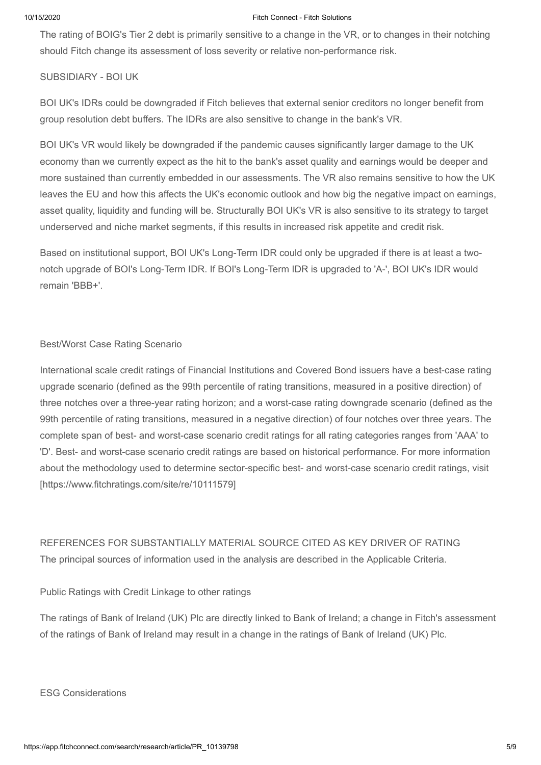The rating of BOIG's Tier 2 debt is primarily sensitive to a change in the VR, or to changes in their notching should Fitch change its assessment of loss severity or relative non-performance risk.

#### SUBSIDIARY - BOI UK

BOI UK's IDRs could be downgraded if Fitch believes that external senior creditors no longer benefit from group resolution debt buffers. The IDRs are also sensitive to change in the bank's VR.

BOI UK's VR would likely be downgraded if the pandemic causes significantly larger damage to the UK economy than we currently expect as the hit to the bank's asset quality and earnings would be deeper and more sustained than currently embedded in our assessments. The VR also remains sensitive to how the UK leaves the EU and how this affects the UK's economic outlook and how big the negative impact on earnings, asset quality, liquidity and funding will be. Structurally BOI UK's VR is also sensitive to its strategy to target underserved and niche market segments, if this results in increased risk appetite and credit risk.

Based on institutional support, BOI UK's Long-Term IDR could only be upgraded if there is at least a twonotch upgrade of BOI's Long-Term IDR. If BOI's Long-Term IDR is upgraded to 'A-', BOI UK's IDR would remain 'BBB+'.

## Best/Worst Case Rating Scenario

International scale credit ratings of Financial Institutions and Covered Bond issuers have a best-case rating upgrade scenario (defined as the 99th percentile of rating transitions, measured in a positive direction) of three notches over a three-year rating horizon; and a worst-case rating downgrade scenario (defined as the 99th percentile of rating transitions, measured in a negative direction) of four notches over three years. The complete span of best- and worst-case scenario credit ratings for all rating categories ranges from 'AAA' to 'D'. Best- and worst-case scenario credit ratings are based on historical performance. For more information about the methodology used to determine sector-specific best- and worst-case scenario credit ratings, visit [https://www.fitchratings.com/site/re/10111579]

# REFERENCES FOR SUBSTANTIALLY MATERIAL SOURCE CITED AS KEY DRIVER OF RATING The principal sources of information used in the analysis are described in the Applicable Criteria.

# Public Ratings with Credit Linkage to other ratings

The ratings of Bank of Ireland (UK) Plc are directly linked to Bank of Ireland; a change in Fitch's assessment of the ratings of Bank of Ireland may result in a change in the ratings of Bank of Ireland (UK) Plc.

#### ESG Considerations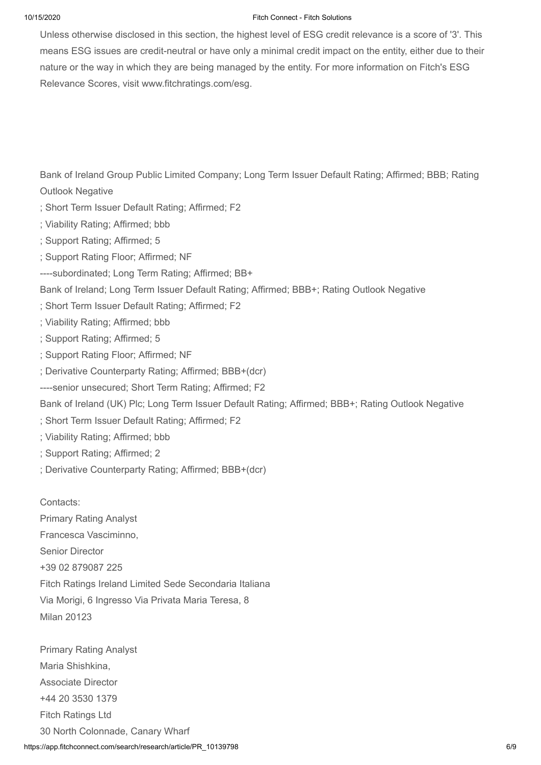Unless otherwise disclosed in this section, the highest level of ESG credit relevance is a score of '3'. This means ESG issues are credit-neutral or have only a minimal credit impact on the entity, either due to their nature or the way in which they are being managed by the entity. For more information on Fitch's ESG Relevance Scores, visit www.fitchratings.com/esg.

Bank of Ireland Group Public Limited Company; Long Term Issuer Default Rating; Affirmed; BBB; Rating Outlook Negative

- ; Short Term Issuer Default Rating; Affirmed; F2
- ; Viability Rating; Affirmed; bbb
- ; Support Rating; Affirmed; 5
- ; Support Rating Floor; Affirmed; NF
- ----subordinated; Long Term Rating; Affirmed; BB+
- Bank of Ireland; Long Term Issuer Default Rating; Affirmed; BBB+; Rating Outlook Negative
- ; Short Term Issuer Default Rating; Affirmed; F2
- ; Viability Rating; Affirmed; bbb
- ; Support Rating; Affirmed; 5
- ; Support Rating Floor; Affirmed; NF
- ; Derivative Counterparty Rating; Affirmed; BBB+(dcr)
- ----senior unsecured; Short Term Rating; Affirmed; F2

Bank of Ireland (UK) Plc; Long Term Issuer Default Rating; Affirmed; BBB+; Rating Outlook Negative

- ; Short Term Issuer Default Rating; Affirmed; F2
- ; Viability Rating; Affirmed; bbb
- ; Support Rating; Affirmed; 2
- ; Derivative Counterparty Rating; Affirmed; BBB+(dcr)

#### Contacts:

Primary Rating Analyst Francesca Vasciminno, Senior Director +39 02 879087 225 Fitch Ratings Ireland Limited Sede Secondaria Italiana Via Morigi, 6 Ingresso Via Privata Maria Teresa, 8 Milan 20123

https://app.fitchconnect.com/search/research/article/PR 10139798 6/9 Primary Rating Analyst Maria Shishkina, Associate Director +44 20 3530 1379 Fitch Ratings Ltd 30 North Colonnade, Canary Wharf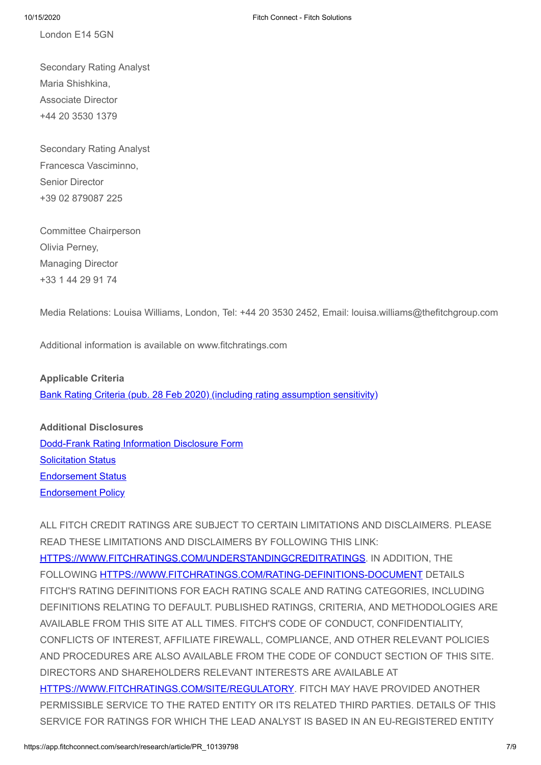London E14 5GN

Secondary Rating Analyst Maria Shishkina, Associate Director +44 20 3530 1379

Secondary Rating Analyst Francesca Vasciminno, Senior Director +39 02 879087 225

Committee Chairperson Olivia Perney, Managing Director +33 1 44 29 91 74

Media Relations: Louisa Williams, London, Tel: +44 20 3530 2452, Email: louisa.williams@thefitchgroup.com

Additional information is available on www.fitchratings.com

# **Applicable Criteria** [Bank Rating Criteria \(pub. 28 Feb 2020\) \(including rating assumption sensitivity\)](https://app.fitchconnect.com/search/research/article/RPT_10110041)

#### **Additional Disclosures**

[Dodd-Frank Rating Information Disclosure Form](https://www.fitchratings.com/site/dodd-frank-disclosure/10139798) **[Solicitation Status](https://www.fitchratings.com/site/pr/10139798#solicitation)** [Endorsement Status](https://www.fitchratings.com/site/pr/10139798#endorsement_status) [Endorsement Policy](#page-8-0)

ALL FITCH CREDIT RATINGS ARE SUBJECT TO CERTAIN LIMITATIONS AND DISCLAIMERS. PLEASE READ THESE LIMITATIONS AND DISCLAIMERS BY FOLLOWING THIS LINK: [HTTPS://WWW.FITCHRATINGS.COM/UNDERSTANDINGCREDITRATINGS.](https://www.fitchratings.com/UNDERSTANDINGCREDITRATINGS) IN ADDITION, THE FOLLOWING [HTTPS://WWW.FITCHRATINGS.COM/RATING-DEFINITIONS-DOCUMENT](https://www.fitchratings.com/rating-definitions-document) DETAILS FITCH'S RATING DEFINITIONS FOR EACH RATING SCALE AND RATING CATEGORIES, INCLUDING DEFINITIONS RELATING TO DEFAULT. PUBLISHED RATINGS, CRITERIA, AND METHODOLOGIES ARE

AVAILABLE FROM THIS SITE AT ALL TIMES. FITCH'S CODE OF CONDUCT, CONFIDENTIALITY, CONFLICTS OF INTEREST, AFFILIATE FIREWALL, COMPLIANCE, AND OTHER RELEVANT POLICIES AND PROCEDURES ARE ALSO AVAILABLE FROM THE CODE OF CONDUCT SECTION OF THIS SITE. DIRECTORS AND SHAREHOLDERS RELEVANT INTERESTS ARE AVAILABLE AT [HTTPS://WWW.FITCHRATINGS.COM/SITE/REGULATORY.](https://www.fitchratings.com/site/regulatory) FITCH MAY HAVE PROVIDED ANOTHER PERMISSIBLE SERVICE TO THE RATED ENTITY OR ITS RELATED THIRD PARTIES. DETAILS OF THIS

SERVICE FOR RATINGS FOR WHICH THE LEAD ANALYST IS BASED IN AN EU-REGISTERED ENTITY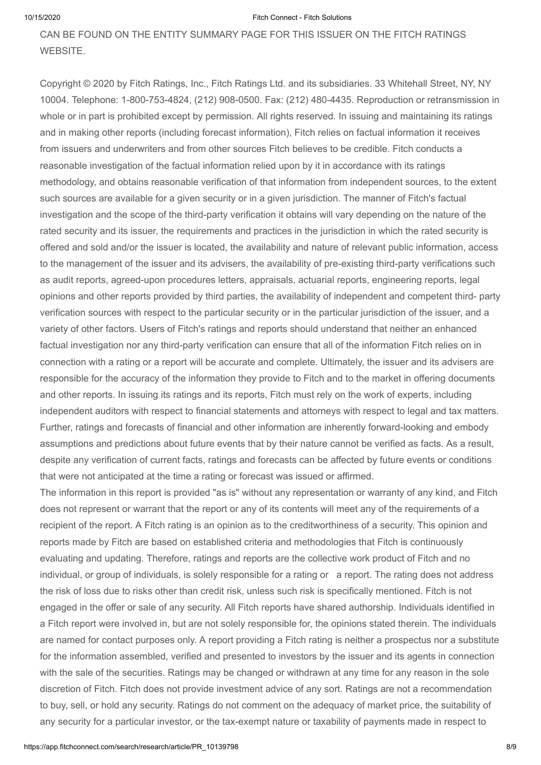CAN BE FOUND ON THE ENTITY SUMMARY PAGE FOR THIS ISSUER ON THE FITCH RATINGS WEBSITE.

Copyright © 2020 by Fitch Ratings, Inc., Fitch Ratings Ltd. and its subsidiaries. 33 Whitehall Street, NY, NY 10004. Telephone: 1-800-753-4824, (212) 908-0500. Fax: (212) 480-4435. Reproduction or retransmission in whole or in part is prohibited except by permission. All rights reserved. In issuing and maintaining its ratings and in making other reports (including forecast information), Fitch relies on factual information it receives from issuers and underwriters and from other sources Fitch believes to be credible. Fitch conducts a reasonable investigation of the factual information relied upon by it in accordance with its ratings methodology, and obtains reasonable verification of that information from independent sources, to the extent such sources are available for a given security or in a given jurisdiction. The manner of Fitch's factual investigation and the scope of the third-party verification it obtains will vary depending on the nature of the rated security and its issuer, the requirements and practices in the jurisdiction in which the rated security is offered and sold and/or the issuer is located, the availability and nature of relevant public information, access to the management of the issuer and its advisers, the availability of pre-existing third-party verifications such as audit reports, agreed-upon procedures letters, appraisals, actuarial reports, engineering reports, legal opinions and other reports provided by third parties, the availability of independent and competent third- party verification sources with respect to the particular security or in the particular jurisdiction of the issuer, and a variety of other factors. Users of Fitch's ratings and reports should understand that neither an enhanced factual investigation nor any third-party verification can ensure that all of the information Fitch relies on in connection with a rating or a report will be accurate and complete. Ultimately, the issuer and its advisers are responsible for the accuracy of the information they provide to Fitch and to the market in offering documents and other reports. In issuing its ratings and its reports, Fitch must rely on the work of experts, including independent auditors with respect to financial statements and attorneys with respect to legal and tax matters. Further, ratings and forecasts of financial and other information are inherently forward-looking and embody assumptions and predictions about future events that by their nature cannot be verified as facts. As a result, despite any verification of current facts, ratings and forecasts can be affected by future events or conditions that were not anticipated at the time a rating or forecast was issued or affirmed.

The information in this report is provided "as is" without any representation or warranty of any kind, and Fitch does not represent or warrant that the report or any of its contents will meet any of the requirements of a recipient of the report. A Fitch rating is an opinion as to the creditworthiness of a security. This opinion and reports made by Fitch are based on established criteria and methodologies that Fitch is continuously evaluating and updating. Therefore, ratings and reports are the collective work product of Fitch and no individual, or group of individuals, is solely responsible for a rating or a report. The rating does not address the risk of loss due to risks other than credit risk, unless such risk is specifically mentioned. Fitch is not engaged in the offer or sale of any security. All Fitch reports have shared authorship. Individuals identified in a Fitch report were involved in, but are not solely responsible for, the opinions stated therein. The individuals are named for contact purposes only. A report providing a Fitch rating is neither a prospectus nor a substitute for the information assembled, verified and presented to investors by the issuer and its agents in connection with the sale of the securities. Ratings may be changed or withdrawn at any time for any reason in the sole discretion of Fitch. Fitch does not provide investment advice of any sort. Ratings are not a recommendation to buy, sell, or hold any security. Ratings do not comment on the adequacy of market price, the suitability of any security for a particular investor, or the tax-exempt nature or taxability of payments made in respect to